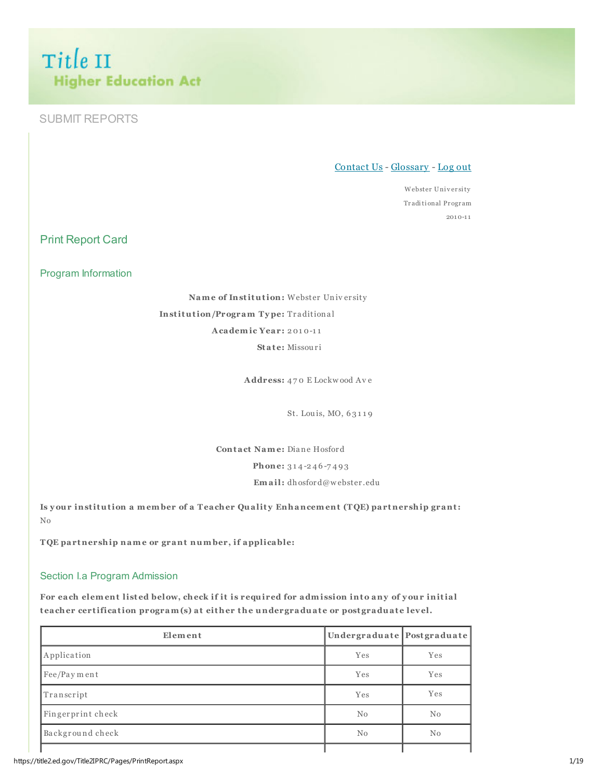Title II **Higher Education Act** 

# SUBMIT REPORTS

### Contact Us - Glossary - Log out

Webster University Tr aditi onal Pr ogr am 2010-1 1

Print Report Card

Program Information

Name of Institution: Webster Univ er sity Institution/Program Type: Traditional Academic Year: 2 01 0-1 1 State: Missouri

Address: 4 7 0 E Lockw ood Av e

St. Lou is, MO, 6 3 1 1 9

Contact Name: Diane Hosford

Phone: 314-246-7493

Email: dhosford@w ebster .edu

Is your institution a member of a Teacher Quality Enhancement (TQE) partnership grant: No

TQE partnership name or grant number, if applicable:

### Section I.a Program Admission

For each element listed below, check if it is required for admission into any of your initial teacher certification program(s) at either the undergraduate or postgraduate level.

| Element           | Undergraduate Postgraduate |          |
|-------------------|----------------------------|----------|
| Application       | Yes                        | Yes      |
| Fee/Payment       | Yes                        | Yes      |
| Transcript        | Yes                        | Yes      |
| Fingerprint check | No                         | No       |
| Background check  | No                         | $\rm No$ |
|                   |                            |          |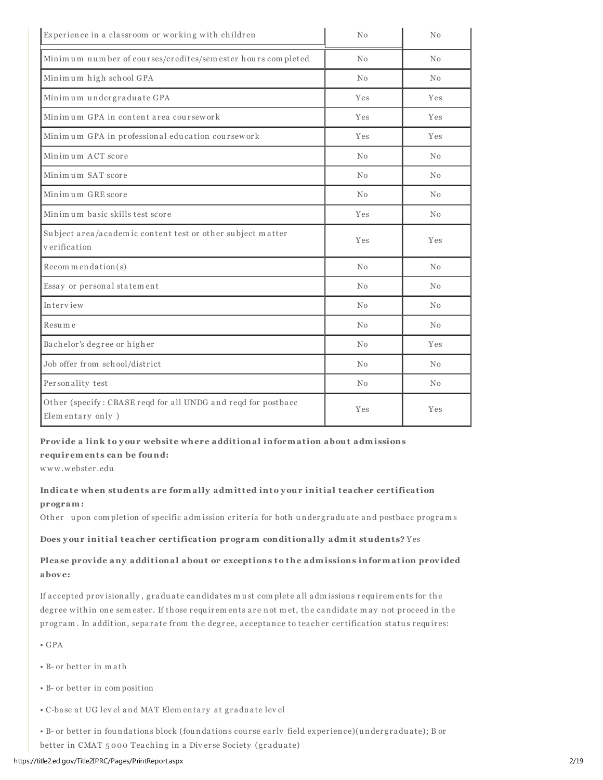| Experience in a classroom or working with children<br>$\rm No$                     |     | No             |
|------------------------------------------------------------------------------------|-----|----------------|
| Minimum number of courses/credites/sem ester hours completed<br>No                 |     | No             |
| Minimum high school GPA                                                            | No  | No             |
| Minimum undergraduate GPA                                                          | Yes | <b>Yes</b>     |
| Minimum GPA in content area coursework                                             | Yes | Yes            |
| Minimum GPA in professional education coursework                                   | Yes | Yes            |
| Minimum ACT score                                                                  | No  | No             |
| Minimum SAT score                                                                  | No  | No             |
| Minimum GRE score<br>No                                                            |     | No             |
| Minimum basic skills test score<br>Yes                                             |     | N <sub>0</sub> |
| Subject area/academic content test or other subject matter<br>Yes<br>verification  |     | Yes            |
| Recommendation(s)                                                                  | No  | N <sub>0</sub> |
| Essay or personal statement                                                        | No  | No             |
| Interview<br>No                                                                    |     | No             |
| Resume<br>No                                                                       |     | No             |
| Bachelor's degree or higher<br>No                                                  |     | <b>Yes</b>     |
| Job offer from school/district<br>No                                               |     | No             |
| Personality test<br>No                                                             |     | No             |
| Other (specify: CBASE reqd for all UNDG and reqd for postbacc<br>Elementary only ) | Yes | Yes            |

#### Provide a link to your website where additional information about admissions

#### requirements can be found:

w w w .w ebster .edu

## Indicate when students are formally admitted into your initial teacher certification program:

Other upon completion of specific admission criteria for both undergraduate and postbacc programs

#### Does your initial teacher certification program conditionally admit students? Yes

## Please provide any additional about or exceptions to the admissions information provided abov e:

If accepted provisionally, graduate candidates must complete all admissions requirements for the degree within one sem ester. If those requirements are not met, the candidate may not proceed in the program. In addition, separate from the degree, acceptance to teacher certification status requires:

- GPA
- B- or better in m a th
- B- or better in com position
- C-base at UG lev el and MAT Elem entary at graduate lev el
- B- or better in foundations block (foundations course early field experience)(undergraduate); B or
- better in CMAT 5000 Teaching in a Diverse Society (graduate)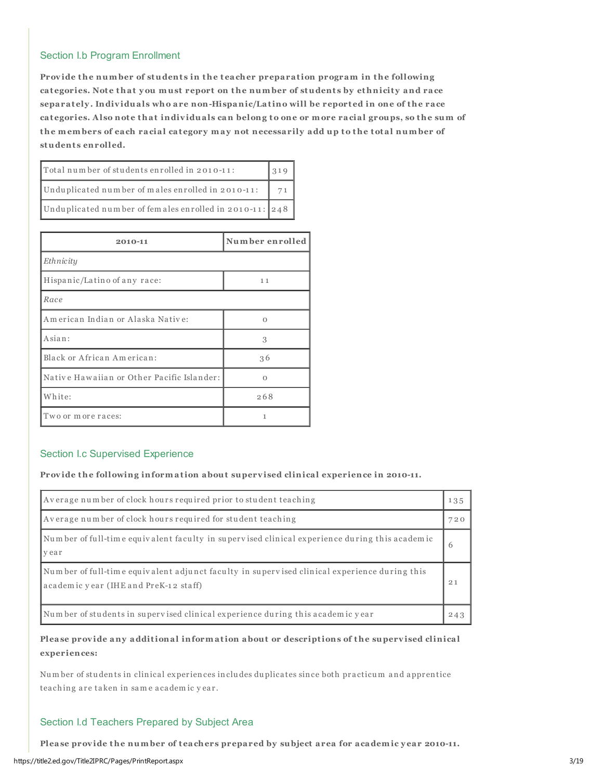## Section I.b Program Enrollment

Provide the number of students in the teacher preparation program in the following categories. Note that you must report on the number of students by ethnicity and race separately. Individuals who are non-Hispanic/Latino will be reported in one of the race categories. Also note that individuals can belong to one or more racial groups, so the sum of the members of each racial category may not necessarily add up to the total number of students enrolled.

| Total number of students enrolled in 2010-11:           | 319 |
|---------------------------------------------------------|-----|
| Unduplicated number of males enrolled in 2010-11:       |     |
| Unduplicated number of females enrolled in 2010-11: 248 |     |

| 2010-11                                    | Number enrolled |
|--------------------------------------------|-----------------|
| Ethnicity                                  |                 |
| Hispanic/Latino of any race:               | 11              |
| Race                                       |                 |
| American Indian or Alaska Native:          | $\Omega$        |
| Asian:                                     | 3               |
| Black or African American:                 | 36              |
| Native Hawaiian or Other Pacific Islander: | Ω               |
| White:                                     | 268             |
| Two or more races:                         | 1               |

#### Section I.c Supervised Experience

Provide the following information about supervised clinical experience in 2010-11.

| Average number of clock hours required prior to student teaching                                                                      | 135 |
|---------------------------------------------------------------------------------------------------------------------------------------|-----|
| Average number of clock hours required for student teaching                                                                           | 720 |
| Number of full-time equivalent faculty in supervised clinical experience during this academic<br>vear                                 | h   |
| Number of full-time equivalent adjunct faculty in supervised clinical experience during this<br>academic year (IHE and PreK-12 staff) | 21  |
| Number of students in supervised clinical experience during this academic year                                                        | 243 |

## Please provide any additional information about or descriptions of the supervised clinical experiences:

Num ber of students in clinical experiences includes duplicates since both practicum and apprentice teaching are taken in same academic year.

### Section I.d Teachers Prepared by Subject Area

Please provide the number of teachers prepared by subject area for academic year 2010-11.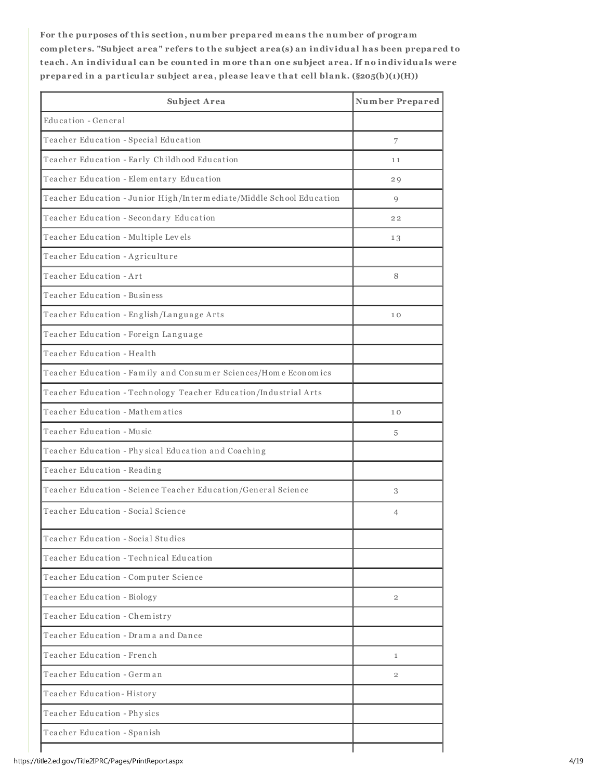For the purposes of this section, number prepared means the number of program complet ers. "Subject area" refers to the subject area(s) an indiv idual has been prepared to teach. An individual can be counted in more than one subject area. If no individuals were prepared in a particular subject area, please leave that cell blank.  $(\$205(b)(1)(H))$ 

| Subject Area                                                         | <b>Number Prepared</b> |
|----------------------------------------------------------------------|------------------------|
| Education - General                                                  |                        |
| Teacher Education - Special Education                                | 7                      |
| Teacher Education - Early Childhood Education                        | 11                     |
| Teacher Education - Elementary Education                             | 29                     |
| Teacher Education - Junior High/Intermediate/Middle School Education | 9                      |
| Teacher Education - Secondary Education                              | 22                     |
| Teacher Education - Multiple Levels                                  | 13                     |
| Teacher Education - Agriculture                                      |                        |
| Teacher Education - Art                                              | 8                      |
| Teacher Education - Business                                         |                        |
| Teacher Education - English/Language Arts                            | 10                     |
| Teacher Education - Foreign Language                                 |                        |
| Teacher Education - Health                                           |                        |
| Teacher Education - Family and Consumer Sciences/Home Economics      |                        |
| Teacher Education - Technology Teacher Education/Industrial Arts     |                        |
| Teacher Education - Mathematics                                      | 10                     |
| Teacher Education - Music                                            | 5                      |
| Teacher Education - Physical Education and Coaching                  |                        |
| Teacher Education - Reading                                          |                        |
| Teacher Education - Science Teacher Education/General Science        | 3                      |
| Teacher Education - Social Science                                   | 4                      |
| Teacher Education - Social Studies                                   |                        |
| Teacher Education - Technical Education                              |                        |
| Teacher Education - Computer Science                                 |                        |
| Teacher Education - Biology                                          | $\overline{2}$         |
| Teacher Education - Chemistry                                        |                        |
| Teacher Education - Drama and Dance                                  |                        |
| Teacher Education - French                                           | $\mathbf{1}$           |
| Teacher Education - German                                           | $\mathbf{2}$           |
| Teacher Education-History                                            |                        |
| Teacher Education - Physics                                          |                        |
| Teacher Education - Spanish                                          |                        |
|                                                                      |                        |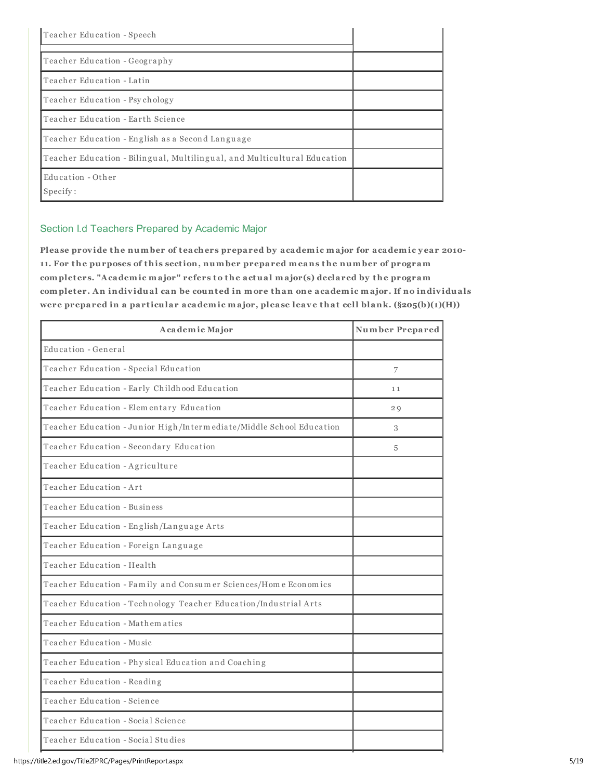| Teacher Education - Speech                                               |  |
|--------------------------------------------------------------------------|--|
| Teacher Education - Geography                                            |  |
| Teacher Education - Latin                                                |  |
| Teacher Education - Psychology                                           |  |
| Teacher Education - Earth Science                                        |  |
| Teacher Education - English as a Second Language                         |  |
| Teacher Education - Bilingual, Multilingual, and Multicultural Education |  |
| Education - Other<br>Specify:                                            |  |

## Section I.d Teachers Prepared by Academic Major

Please provide the number of teachers prepared by academic major for academic year 2010-11. For the purposes of this section, number prepared means the number of program complet ers. "Academic major" refers to the actual major(s) declared by the program completer. An individual can be counted in more than one academic major. If no individuals were prepared in a particular academic major, please leave that cell blank.  $(\$205(b)(1)(H))$ 

| Academic Major                                                       | <b>Number Prepared</b> |
|----------------------------------------------------------------------|------------------------|
| Education - General                                                  |                        |
| Teacher Education - Special Education                                | 7                      |
| Teacher Education - Early Childhood Education                        | 11                     |
| Teacher Education - Elementary Education                             | 29                     |
| Teacher Education - Junior High/Intermediate/Middle School Education | 3                      |
| Teacher Education - Secondary Education                              | 5                      |
| Teacher Education - Agriculture                                      |                        |
| Teacher Education - Art                                              |                        |
| Teacher Education - Business                                         |                        |
| Teacher Education - English/Language Arts                            |                        |
| Teacher Education - Foreign Language                                 |                        |
| Teacher Education - Health                                           |                        |
| Teacher Education - Family and Consumer Sciences/Home Economics      |                        |
| Teacher Education - Technology Teacher Education/Industrial Arts     |                        |
| Teacher Education - Mathematics                                      |                        |
| Teacher Education - Music                                            |                        |
| Teacher Education - Physical Education and Coaching                  |                        |
| Teacher Education - Reading                                          |                        |
| Teacher Education - Science                                          |                        |
| Teacher Education - Social Science                                   |                        |
| Teacher Education - Social Studies                                   |                        |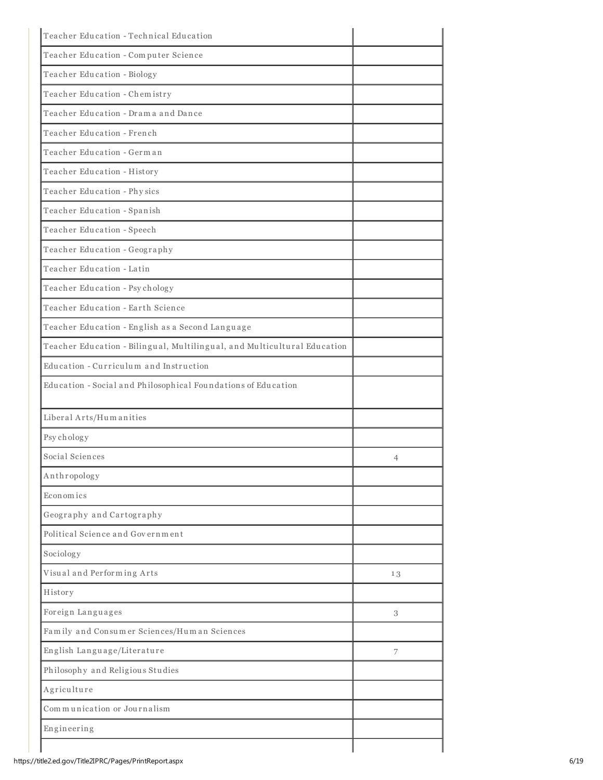| Teacher Education - Technical Education                                  |    |
|--------------------------------------------------------------------------|----|
| Teacher Education - Computer Science                                     |    |
| Teacher Education - Biology                                              |    |
| Teacher Education - Chemistry                                            |    |
| Teacher Education - Drama and Dance                                      |    |
| Teacher Education - French                                               |    |
| Teacher Education - German                                               |    |
| Teacher Education - History                                              |    |
| Teacher Education - Physics                                              |    |
| Teacher Education - Spanish                                              |    |
| Teacher Education - Speech                                               |    |
| Teacher Education - Geography                                            |    |
| Teacher Education - Latin                                                |    |
| Teacher Education - Psychology                                           |    |
| Teacher Education - Earth Science                                        |    |
| Teacher Education - English as a Second Language                         |    |
| Teacher Education - Bilingual, Multilingual, and Multicultural Education |    |
| Education - Curriculum and Instruction                                   |    |
| Education - Social and Philosophical Foundations of Education            |    |
| Liberal Arts/Humanities                                                  |    |
| Psychology                                                               |    |
| Social Sciences                                                          | 4  |
| Anthropology                                                             |    |
| Economics                                                                |    |
| Geography and Cartography                                                |    |
| Political Science and Government                                         |    |
| Sociology                                                                |    |
| Visual and Performing Arts                                               | 13 |
| History                                                                  |    |
| Foreign Languages                                                        | 3  |
| Family and Consumer Sciences/Human Sciences                              |    |
| English Language/Literature                                              | 7  |
| Philosophy and Religious Studies                                         |    |
| Agriculture                                                              |    |
| Communication or Journalism                                              |    |
| Engineering                                                              |    |
|                                                                          |    |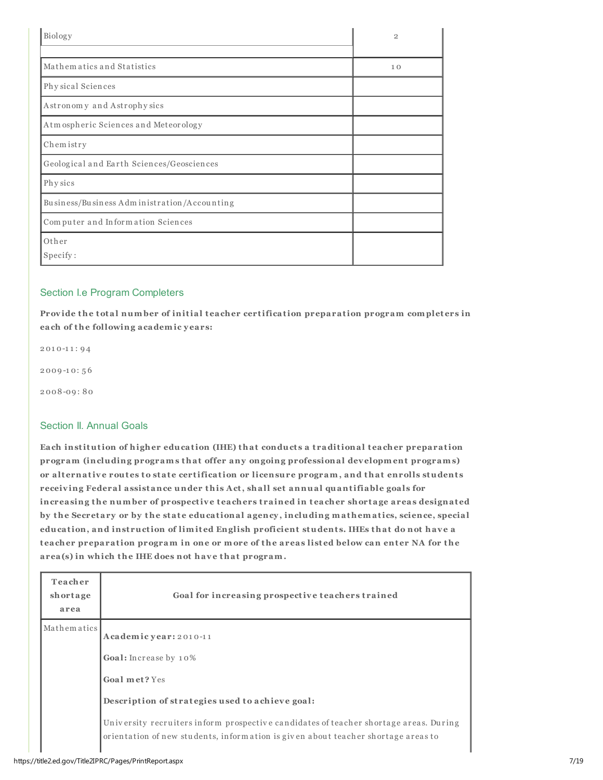| Biology                                     | $\overline{2}$ |
|---------------------------------------------|----------------|
|                                             |                |
| Mathematics and Statistics                  | 10             |
| Physical Sciences                           |                |
| Astronomy and Astrophysics                  |                |
| Atm ospheric Sciences and Meteorology       |                |
| Chemistry                                   |                |
| Geological and Earth Sciences/Geosciences   |                |
| Phy sics                                    |                |
| Business/Business Administration/Accounting |                |
| Computer and Information Sciences           |                |
| Other                                       |                |
| Specify:                                    |                |

## Section I.e Program Completers

Provide the total number of initial teacher certification preparation program completers in each of the following academic y ears:

2 01 0-1 1 : 9 4

2 009 -1 0: 5 6

2 008-09 : 80

## Section II. Annual Goals

Each institution of higher education (IHE) that conducts a traditional teacher preparation program (including programs that offer any ongoing professional dev elopment programs) or alternative routes to state certification or licensure program, and that enrolls students receiv ing Federal assistance under this Act, shall set annual quantifiable goals for increasing the number of prospective teachers trained in teacher shortage areas designated by the Secretary or by the state educational agency, including mathematics, science, special education, and instruction of limited English proficient students. IHEs that do not have a teacher preparation program in one or more of the areas listed below can enter NA for the area(s) in which the IHE does not have that program.

| Teacher<br>shortage<br>area | Goal for increasing prospective teachers trained                                                                                                                                                                                                                                                  |
|-----------------------------|---------------------------------------------------------------------------------------------------------------------------------------------------------------------------------------------------------------------------------------------------------------------------------------------------|
| Mathematics                 | Academic year: 2010-11<br>Goal: Increase by 10%<br>Goal met? Yes<br>Description of strategies used to achieve goal:<br>University recruiters inform prospective candidates of teacher shortage areas. During<br>orientation of new students, information is given about teacher shortage areas to |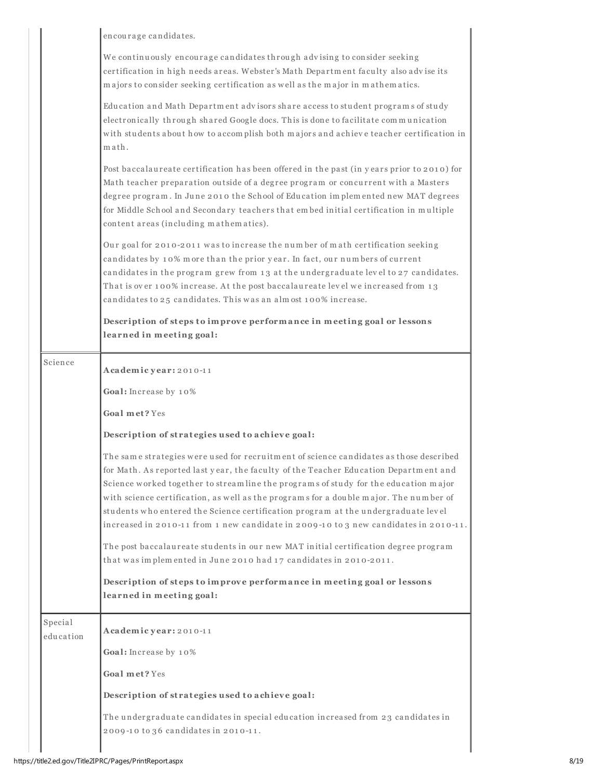|                      | encourage candidates.                                                                                                                                                                                                                                                                                                                                                                                                                                                                                                                                                                                                                                                                                   |
|----------------------|---------------------------------------------------------------------------------------------------------------------------------------------------------------------------------------------------------------------------------------------------------------------------------------------------------------------------------------------------------------------------------------------------------------------------------------------------------------------------------------------------------------------------------------------------------------------------------------------------------------------------------------------------------------------------------------------------------|
|                      | We continuously encourage candidates through advising to consider seeking<br>certification in high needs areas. Webster's Math Department faculty also advise its<br>majors to consider seeking certification as well as the major in mathematics.                                                                                                                                                                                                                                                                                                                                                                                                                                                      |
|                      | Education and Math Department advisors share access to student programs of study<br>electronically through shared Google docs. This is done to facilitate communication<br>with students about how to accomplish both majors and achieve teacher certification in<br>math.                                                                                                                                                                                                                                                                                                                                                                                                                              |
|                      | Post baccalaureate certification has been offered in the past (in years prior to 2010) for<br>Math teacher preparation outside of a degree program or concurrent with a Masters<br>degree program. In June 2010 the School of Education implemented new MAT degrees<br>for Middle School and Secondary teachers that embed initial certification in multiple<br>content areas (including mathematics).                                                                                                                                                                                                                                                                                                  |
|                      | Our goal for 2010-2011 was to increase the number of math certification seeking<br>candidates by 10% more than the prior year. In fact, our numbers of current<br>candidates in the program grew from 13 at the undergraduate level to 27 candidates.<br>That is over 100% increase. At the post baccalaureate level we increased from 13<br>candidates to 25 candidates. This was an almost 100% increase.                                                                                                                                                                                                                                                                                             |
|                      | Description of steps to improve performance in meeting goal or lessons<br>learned in meeting goal:                                                                                                                                                                                                                                                                                                                                                                                                                                                                                                                                                                                                      |
| Science              | Academic year: 2010-11                                                                                                                                                                                                                                                                                                                                                                                                                                                                                                                                                                                                                                                                                  |
|                      | Goal: Increase by 10%                                                                                                                                                                                                                                                                                                                                                                                                                                                                                                                                                                                                                                                                                   |
|                      | Goal met? Yes                                                                                                                                                                                                                                                                                                                                                                                                                                                                                                                                                                                                                                                                                           |
|                      | Description of strategies used to achieve goal:                                                                                                                                                                                                                                                                                                                                                                                                                                                                                                                                                                                                                                                         |
|                      | The same strategies were used for recruitment of science candidates as those described<br>for Math. As reported last year, the faculty of the Teacher Education Department and<br>Science worked together to streamline the programs of study for the education major<br>with science certification, as well as the programs for a double major. The number of<br>students who entered the Science certification program at the undergraduate level<br>increased in 2010-11 from 1 new candidate in 2009-10 to 3 new candidates in 2010-11.<br>The post baccalaureate students in our new MAT initial certification degree program<br>that was implemented in June 2010 had 17 candidates in 2010-2011. |
|                      | Description of steps to improve performance in meeting goal or lessons<br>learned in meeting goal:                                                                                                                                                                                                                                                                                                                                                                                                                                                                                                                                                                                                      |
| Special<br>education | Academic year: 2010-11<br>Goal: Increase by 10%                                                                                                                                                                                                                                                                                                                                                                                                                                                                                                                                                                                                                                                         |
|                      | Goal met? Yes                                                                                                                                                                                                                                                                                                                                                                                                                                                                                                                                                                                                                                                                                           |
|                      | Description of strategies used to achieve goal:                                                                                                                                                                                                                                                                                                                                                                                                                                                                                                                                                                                                                                                         |
|                      | The undergraduate candidates in special education increased from 23 candidates in<br>2009-10 to 36 candidates in 2010-11.                                                                                                                                                                                                                                                                                                                                                                                                                                                                                                                                                                               |
|                      |                                                                                                                                                                                                                                                                                                                                                                                                                                                                                                                                                                                                                                                                                                         |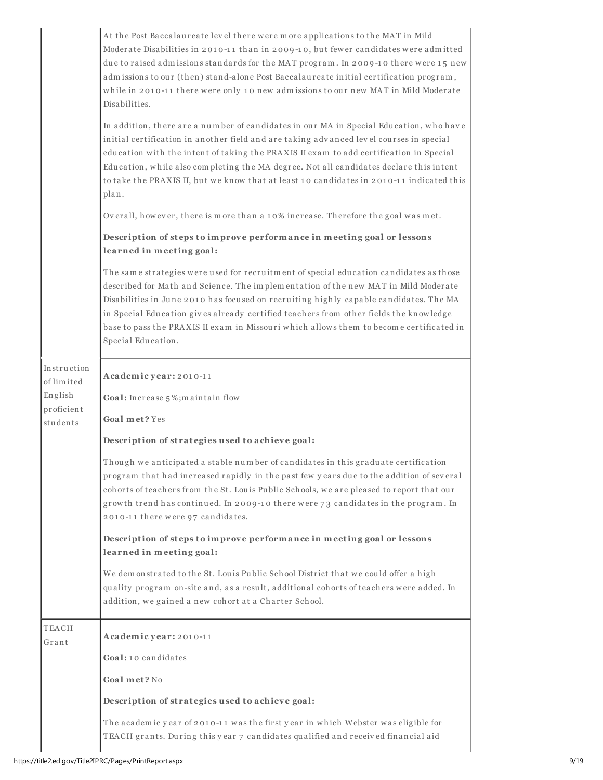|                                                                | At the Post Baccalaureate level there were more applications to the MAT in Mild<br>Moderate Disabilities in 2010-11 than in 2009-10, but fewer candidates were admitted<br>due to raised admissions standards for the MAT program. In 2009-10 there were 15 new<br>admissions to our (then) stand-alone Post Baccalaureate initial certification program,<br>while in 2010-11 there were only 10 new admissions to our new MAT in Mild Moderate<br>Disabilities.<br>In addition, there are a number of candidates in our MA in Special Education, who have<br>initial certification in another field and are taking advanced level courses in special<br>education with the intent of taking the PRAXIS II exam to add certification in Special<br>Education, while also completing the MA degree. Not all candidates declare this intent<br>to take the PRAXIS II, but we know that at least 10 candidates in 2010-11 indicated this<br>plan.<br>Overall, however, there is more than a 10% increase. Therefore the goal was met.<br>Description of steps to improve performance in meeting goal or lessons<br>learned in meeting goal: |
|----------------------------------------------------------------|------------------------------------------------------------------------------------------------------------------------------------------------------------------------------------------------------------------------------------------------------------------------------------------------------------------------------------------------------------------------------------------------------------------------------------------------------------------------------------------------------------------------------------------------------------------------------------------------------------------------------------------------------------------------------------------------------------------------------------------------------------------------------------------------------------------------------------------------------------------------------------------------------------------------------------------------------------------------------------------------------------------------------------------------------------------------------------------------------------------------------------------|
|                                                                | The same strategies were used for recruitment of special education candidates as those<br>described for Math and Science. The implementation of the new MAT in Mild Moderate<br>Disabilities in June 2010 has focused on recruiting highly capable candidates. The MA<br>in Special Education gives already certified teachers from other fields the knowledge<br>base to pass the PRAXIS II exam in Missouri which allows them to become certificated in<br>Special Education.                                                                                                                                                                                                                                                                                                                                                                                                                                                                                                                                                                                                                                                          |
| Instruction<br>of limited<br>English<br>proficient<br>students | Academic year: 2010-11<br>Goal: Increase 5%; maintain flow<br>Goal met? Yes<br>Description of strategies used to achieve goal:<br>Though we anticipated a stable number of candidates in this graduate certification<br>program that had increased rapidly in the past few years due to the addition of several<br>cohorts of teachers from the St. Louis Public Schools, we are pleased to report that our<br>growth trend has continued. In 2009-10 there were 73 candidates in the program. In<br>2010-11 there were 97 candidates.<br>Description of steps to improve performance in meeting goal or lessons<br>learned in meeting goal:<br>We demonstrated to the St. Louis Public School District that we could offer a high<br>quality program on-site and, as a result, additional cohorts of teachers were added. In<br>addition, we gained a new cohort at a Charter School.                                                                                                                                                                                                                                                   |
| TEACH<br>Grant                                                 | Academic year: 2010-11<br>Goal: 10 candidates<br>Goal met? No<br>Description of strategies used to achieve goal:<br>The academic year of 2010-11 was the first year in which Webster was eligible for<br>TEACH grants. During this year 7 candidates qualified and received financial aid                                                                                                                                                                                                                                                                                                                                                                                                                                                                                                                                                                                                                                                                                                                                                                                                                                                |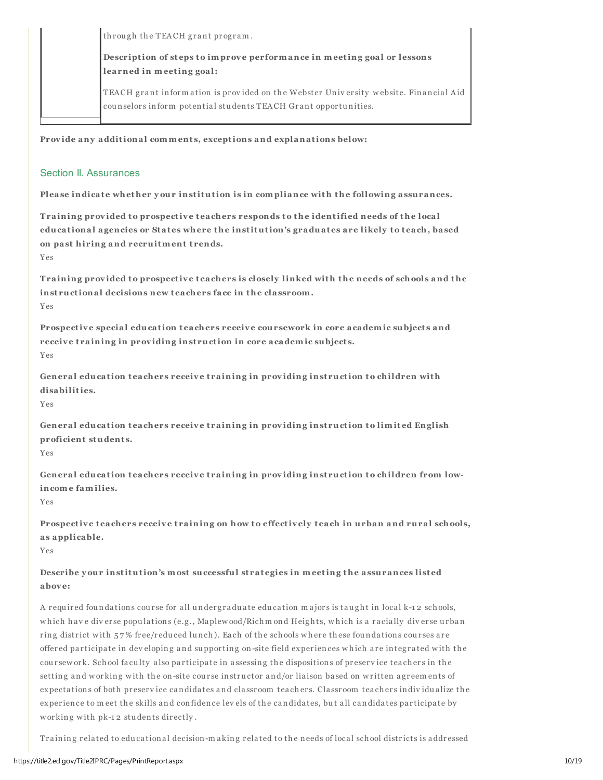through the TEACH grant program.

Description of steps to improve performance in meeting goal or lessons learned in meeting goal:

TEACH grant information is provided on the Webster University website. Financial Aid counselors inform potential students TEACH Grant opportunities.

Provide any additional comments, exceptions and explanations below:

## Section II. Assurances

Please indicate whether your institution is in compliance with the following assurances.

Training provided to prospective teachers responds to the identified needs of the local educational agencies or States where the institution's graduates are likely to teach, based on past hiring and recruitment trends.

Yes

Training provided to prospective teachers is closely linked with the needs of schools and the instructional decisions new teachers face in the classroom. Yes

Prospective special education teachers receive coursework in core academic subjects and receive training in providing instruction in core academic subjects. Yes

General education teachers receive training in providing instruction to children with disabilities.

Yes

General education teachers receive training in providing instruction to limited English proficient students.

Yes

General education teachers receive training in providing instruction to children from lowincome families.

Yes

Prospective teachers receive training on how to effectively teach in urban and rural schools, as applicable.

Yes

Describe your institution's most successful strategies in meeting the assurances listed abov e:

A required foundations course for all undergraduate education majors is taught in local k-12 schools, which have diverse populations (e.g., Maplew ood/Richm ond Heights, which is a racially diverse urban ring district with 57% free/reduced lunch). Each of the schools where these foundations courses are offered participate in dev eloping and supporting on-site field experiences which are integrated with the coursework. School faculty also participate in assessing the dispositions of preservice teachers in the setting and w orking with the on-site course instructor and/or liaison based on written agreements of expecta tions of both pr eser v ice candida tes and cla ssr oom tea cher s. Cla ssr oom tea cher s indiv idu a lize the experience to meet the skills and confidence lev els of the candidates, but all candidates participate by w or king with pk-12 students directly.

Training related to educational decision-making related to the needs of local school districts is addressed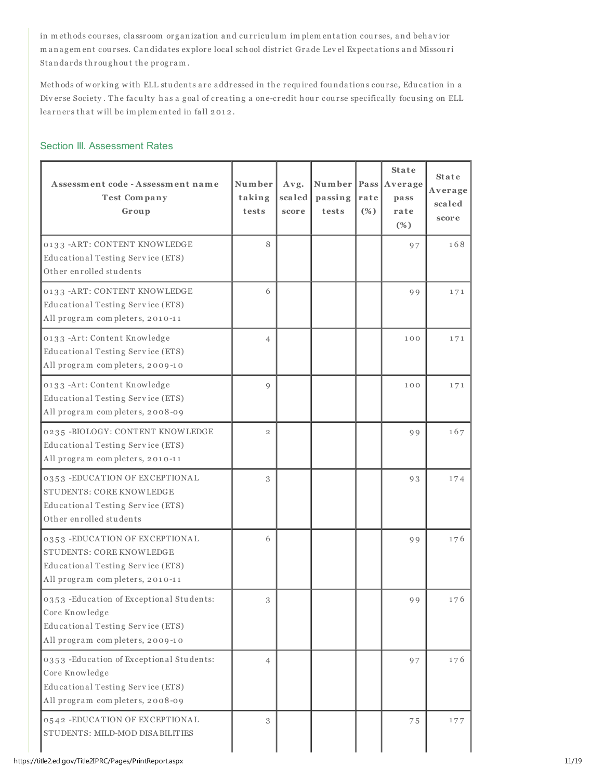in m ethods courses, classroom organization and curriculum implementation courses, and behavior m anagem ent courses. Candidates explore local school district Grade Lev el Expectations and Missouri Standards throughout the program.

Methods of working with ELL students are addressed in the required foundations course, Education in a Diverse Society. The faculty has a goal of creating a one-credit hour course specifically focusing on ELL learners that will be implemented in fall 2012.

## Section III. Assessment Rates

| Assessment code - Assessment name<br><b>Test Company</b><br>Group                                                                   | Number<br>taking<br>tests | Avg.<br>scaled<br>score | passing<br>tests | rate<br>(%) | <b>State</b><br>Number   Pass   Average<br>pass<br>rate<br>$(\%)$ | <b>State</b><br>Average<br>scaled<br>score |
|-------------------------------------------------------------------------------------------------------------------------------------|---------------------------|-------------------------|------------------|-------------|-------------------------------------------------------------------|--------------------------------------------|
| 0133 - ART: CONTENT KNOWLEDGE<br>Educational Testing Service (ETS)<br>Other enrolled students                                       | 8                         |                         |                  |             | 97                                                                | 168                                        |
| 0133 -ART: CONTENT KNOWLEDGE<br>Educational Testing Service (ETS)<br>All program completers, 2010-11                                | 6                         |                         |                  |             | 99                                                                | 171                                        |
| 0133 -Art: Content Knowledge<br>Educational Testing Service (ETS)<br>All program completers, 2009-10                                | $\overline{4}$            |                         |                  |             | 100                                                               | 171                                        |
| 0133 -Art: Content Knowledge<br>Educational Testing Service (ETS)<br>All program completers, 2008-09                                | Q                         |                         |                  |             | 100                                                               | 171                                        |
| 0235 -BIOLOGY: CONTENT KNOWLEDGE<br>Educational Testing Service (ETS)<br>All program completers, 2010-11                            | $\overline{2}$            |                         |                  |             | 99                                                                | 167                                        |
| 0353 - EDUCATION OF EXCEPTIONAL<br>STUDENTS: CORE KNOWLEDGE<br>Educational Testing Service (ETS)<br>Other enrolled students         | 3                         |                         |                  |             | 93                                                                | 174                                        |
| 0353 - EDUCATION OF EXCEPTIONAL<br>STUDENTS: CORE KNOWLEDGE<br>Educational Testing Service (ETS)<br>All program completers, 2010-11 | 6                         |                         |                  |             | 99                                                                | 176                                        |
| 0353 - Education of Exceptional Students:<br>Core Knowledge<br>Educational Testing Service (ETS)<br>All program completers, 2009-10 | 3                         |                         |                  |             | 99                                                                | 176                                        |
| 0353 - Education of Exceptional Students:<br>Core Knowledge<br>Educational Testing Service (ETS)<br>All program completers, 2008-09 | 4                         |                         |                  |             | 97                                                                | 176                                        |
| 0542 - EDUCATION OF EXCEPTIONAL<br>STUDENTS: MILD-MOD DISA BILITIES                                                                 | 3                         |                         |                  |             | 75                                                                | 177                                        |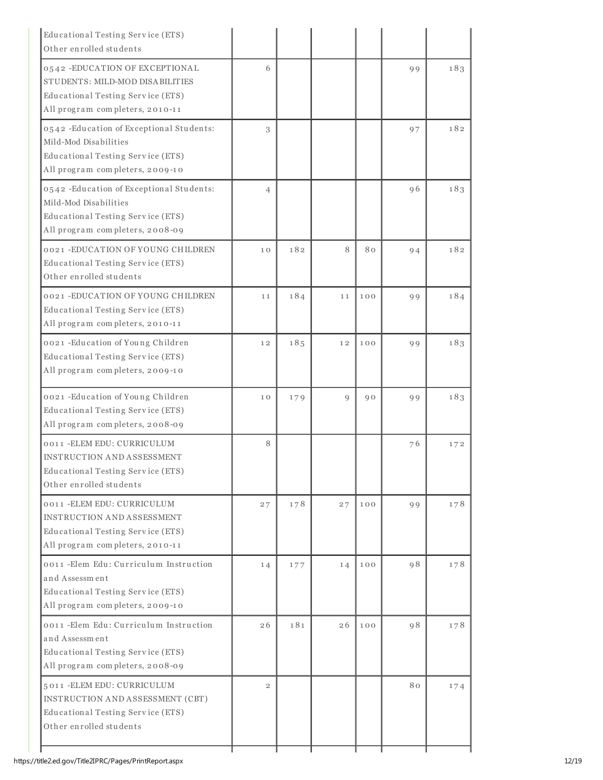| Educational Testing Service (ETS)<br>Other enrolled students                                                                               |                |     |    |     |           |     |
|--------------------------------------------------------------------------------------------------------------------------------------------|----------------|-----|----|-----|-----------|-----|
| 0542 - EDUCATION OF EXCEPTIONAL<br>STUDENTS: MILD-MOD DISABILITIES<br>Educational Testing Service (ETS)<br>All program completers, 2010-11 | 6              |     |    |     | 99        | 183 |
| 0542 - Education of Exceptional Students:<br>Mild-Mod Disabilities<br>Educational Testing Service (ETS)<br>All program completers, 2009-10 | 3              |     |    |     | 97        | 182 |
| 0542 - Education of Exceptional Students:<br>Mild-Mod Disabilities<br>Educational Testing Service (ETS)<br>All program completers, 2008-09 | $\overline{4}$ |     |    |     | 96        | 183 |
| 0021 -EDUCATION OF YOUNG CHILDREN<br>Educational Testing Service (ETS)<br>Other enrolled students                                          | 10             | 182 | 8  | 80  | 94        | 182 |
| 0021 -EDUCATION OF YOUNG CHILDREN<br>Educational Testing Service (ETS)<br>All program completers, 2010-11                                  | 11             | 184 | 11 | 100 | 99        | 184 |
| 0021 - Education of Young Children<br>Educational Testing Service (ETS)<br>All program completers, 2009-10                                 | 12             | 185 | 12 | 100 | 99        | 183 |
| 0021 - Education of Young Children<br>Educational Testing Service (ETS)<br>All program completers, 2008-09                                 | 10             | 179 | 9  | 90  | 99        | 183 |
| 0011 - ELEM EDU: CURRICULUM<br><b>INSTRUCTION AND ASSESSMENT</b><br>Educational Testing Service (ETS)<br>Other enrolled students           | 8              |     |    |     | 76        | 172 |
| 0011 - ELEM EDU: CURRICULUM<br><b>INSTRUCTION AND ASSESSMENT</b><br>Educational Testing Service (ETS)<br>All program completers, 2010-11   | 27             | 178 | 27 | 100 | <b>99</b> | 178 |
| 0011 - Elem Edu: Curriculum Instruction<br>and Assessment<br>Educational Testing Service (ETS)<br>All program completers, 2009-10          | 14             | 177 | 14 | 100 | 98        | 178 |
| 0011 - Elem Edu: Curriculum Instruction<br>and Assessment<br>Educational Testing Service (ETS)<br>All program completers, 2008-09          | 26             | 181 | 26 | 100 | 98        | 178 |
| 5011 - ELEM EDU: CURRICULUM<br>INSTRUCTION AND ASSESSMENT (CBT)<br>Educational Testing Service (ETS)<br>Other enrolled students            | $\overline{2}$ |     |    |     | 80        | 174 |

ı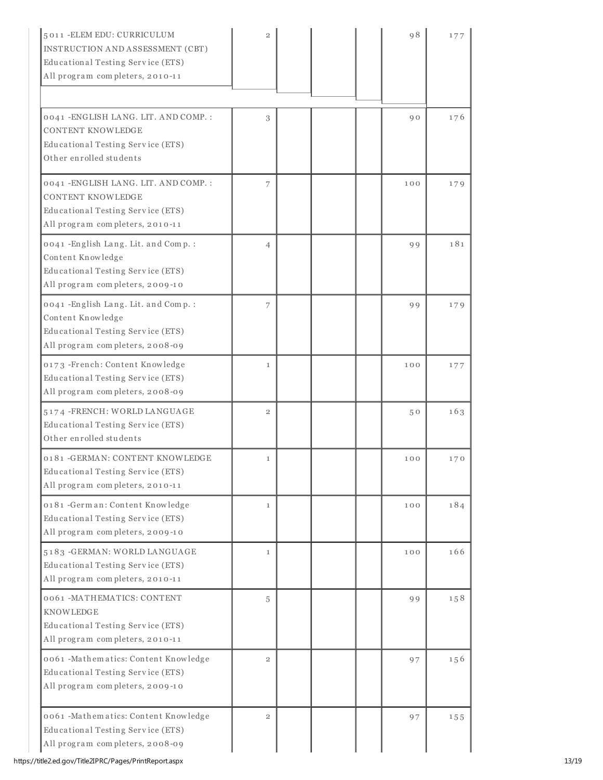| 5011 - ELEM EDU: CURRICULUM<br>INSTRUCTION AND ASSESSMENT (CBT)<br>Educational Testing Service (ETS)<br>All program completers, 2010-11   | $\mathfrak{D}$ |  | 98  | 177 |
|-------------------------------------------------------------------------------------------------------------------------------------------|----------------|--|-----|-----|
| 0041 - ENGLISH LANG. LIT. AND COMP. :                                                                                                     | 3              |  | 90  | 176 |
| <b>CONTENT KNOWLEDGE</b><br>Educational Testing Service (ETS)<br>Other enrolled students                                                  |                |  |     |     |
| 0041 - ENGLISH LANG. LIT. AND COMP. :<br><b>CONTENT KNOWLEDGE</b><br>Educational Testing Service (ETS)<br>All program completers, 2010-11 | 7              |  | 100 | 179 |
| 0041 - English Lang. Lit. and Comp. :<br>Content Knowledge<br>Educational Testing Service (ETS)<br>All program completers, 2009-10        | $\overline{4}$ |  | 99  | 181 |
| 0041 -English Lang. Lit. and Comp. :<br>Content Knowledge<br>Educational Testing Service (ETS)<br>All program completers, 2008-09         | 7              |  | 99  | 179 |
| 0173 -French: Content Knowledge<br>Educational Testing Service (ETS)<br>All program completers, 2008-09                                   | $\mathbf{1}$   |  | 100 | 177 |
| 5174 - FRENCH: WORLD LANGUAGE<br>Educational Testing Service (ETS)<br>Other enrolled students                                             | $\overline{2}$ |  | 50  | 163 |
| 0181 - GERMAN: CONTENT KNOWLEDGE<br>Educational Testing Service (ETS)<br>All program completers, 2010-11                                  | $\mathbf{1}$   |  | 100 | 170 |
| 0181 -German: Content Knowledge<br>Educational Testing Service (ETS)<br>All program completers, 2009-10                                   | $\mathbf{1}$   |  | 100 | 184 |
| 5183 - GERMAN: WORLD LANGUAGE<br>Educational Testing Service (ETS)<br>All program completers, 2010-11                                     | $\mathbf{1}$   |  | 100 | 166 |
| 0061 -MATHEMATICS: CONTENT<br><b>KNOWLEDGE</b><br>Educational Testing Service (ETS)<br>All program completers, 2010-11                    | 5              |  | 99  | 158 |
| 0061 -Mathematics: Content Knowledge<br>Educational Testing Service (ETS)<br>All program completers, 2009-10                              | $\mathbf{2}$   |  | 97  | 156 |
| 0061 -Mathematics: Content Knowledge<br>Educational Testing Service (ETS)<br>All program completers, 2008-09                              | $\overline{2}$ |  | 97  | 155 |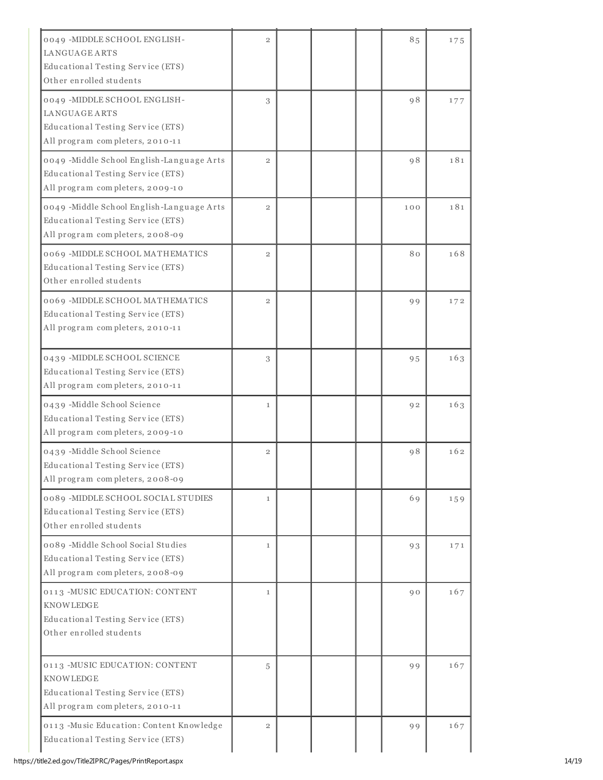| 0049 - MIDDLE SCHOOL ENGLISH-                                        | $\overline{2}$ |  | 85            | 175 |
|----------------------------------------------------------------------|----------------|--|---------------|-----|
| LANGUAGEARTS                                                         |                |  |               |     |
| Educational Testing Service (ETS)<br>Other enrolled students         |                |  |               |     |
|                                                                      |                |  |               |     |
| 0049 - MIDDLE SCHOOL ENGLISH-                                        | 3              |  | <sub>98</sub> | 177 |
| LANGUAGEARTS                                                         |                |  |               |     |
| Educational Testing Service (ETS)<br>All program completers, 2010-11 |                |  |               |     |
|                                                                      |                |  |               |     |
| 0049 - Middle School English-Language Arts                           | $\overline{2}$ |  | <b>98</b>     | 181 |
| Educational Testing Service (ETS)                                    |                |  |               |     |
| All program completers, 2009-10                                      |                |  |               |     |
| 0049 - Middle School English-Language Arts                           | $\overline{2}$ |  | 100           | 181 |
| Educational Testing Service (ETS)                                    |                |  |               |     |
| All program completers, 2008-09                                      |                |  |               |     |
| 0069 - MIDDLE SCHOOL MATHEMATICS                                     | $\overline{2}$ |  | 80            | 168 |
| Educational Testing Service (ETS)                                    |                |  |               |     |
| Other enrolled students                                              |                |  |               |     |
| 0069 - MIDDLE SCHOOL MATHEMATICS                                     | $\overline{2}$ |  | 99            | 172 |
| Educational Testing Service (ETS)                                    |                |  |               |     |
| All program completers, 2010-11                                      |                |  |               |     |
|                                                                      |                |  |               |     |
| 0439 - MIDDLE SCHOOL SCIENCE                                         | 3              |  | 95            | 163 |
| Educational Testing Service (ETS)                                    |                |  |               |     |
| All program completers, 2010-11                                      |                |  |               |     |
| 0439 -Middle School Science                                          | $\mathbf{1}$   |  | 92            | 163 |
| Educational Testing Service (ETS)                                    |                |  |               |     |
| All program completers, 2009-10                                      |                |  |               |     |
| 0439 -Middle School Science                                          | $\overline{2}$ |  | 98            | 162 |
| Educational Testing Service (ETS)                                    |                |  |               |     |
| All program completers, 2008-09                                      |                |  |               |     |
| 0089 - MIDDLE SCHOOL SOCIAL STUDIES                                  | $\mathbf{1}$   |  | 69            | 159 |
| Educational Testing Service (ETS)                                    |                |  |               |     |
| Other enrolled students                                              |                |  |               |     |
| 0089 -Middle School Social Studies                                   | $\mathbf{1}$   |  | 93            | 171 |
| Educational Testing Service (ETS)                                    |                |  |               |     |
| All program completers, 2008-09                                      |                |  |               |     |
| 0113 -MUSIC EDUCATION: CONTENT                                       | $\mathbf{1}$   |  | 90            | 167 |
| <b>KNOWLEDGE</b>                                                     |                |  |               |     |
| Educational Testing Service (ETS)                                    |                |  |               |     |
| Other enrolled students                                              |                |  |               |     |
|                                                                      |                |  |               |     |
| 0113 - MUSIC EDUCATION: CONTENT                                      | 5              |  | 99            | 167 |
| <b>KNOWLEDGE</b>                                                     |                |  |               |     |
| Educational Testing Service (ETS)                                    |                |  |               |     |
| All program completers, 2010-11                                      |                |  |               |     |
| 0113 -Music Education: Content Knowledge                             | $\overline{2}$ |  | 99            | 167 |
| Educational Testing Service (ETS)                                    |                |  |               |     |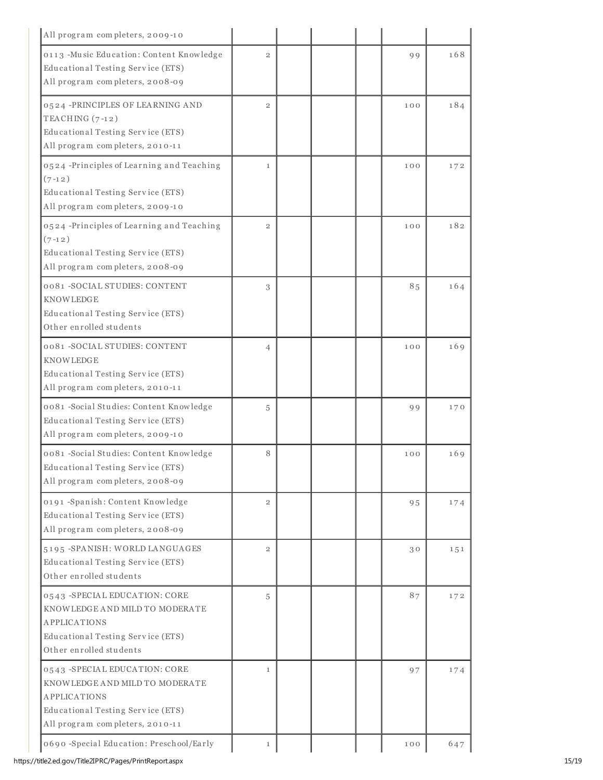| All program completers, 2009-10                                                                                                                                 |                |  |     |     |
|-----------------------------------------------------------------------------------------------------------------------------------------------------------------|----------------|--|-----|-----|
| 0113 -Music Education: Content Knowledge<br>Educational Testing Service (ETS)<br>All program completers, 2008-09                                                | $\overline{2}$ |  | 99  | 168 |
| 0524 -PRINCIPLES OF LEARNING AND<br>TEACHING $(7-12)$<br>Educational Testing Service (ETS)<br>All program completers, 2010-11                                   | $\overline{2}$ |  | 100 | 184 |
| 0524 -Principles of Learning and Teaching<br>$(7-12)$<br>Educational Testing Service (ETS)<br>All program completers, 2009-10                                   | $\mathbf{1}$   |  | 100 | 172 |
| 0524 -Principles of Learning and Teaching<br>$(7-12)$<br>Educational Testing Service (ETS)<br>All program completers, 2008-09                                   | $\overline{2}$ |  | 100 | 182 |
| 0081 - SOCIAL STUDIES: CONTENT<br>KNOWLEDGE<br>Educational Testing Service (ETS)<br>Other enrolled students                                                     | 3              |  | 85  | 164 |
| 0081 - SOCIAL STUDIES: CONTENT<br><b>KNOWLEDGE</b><br>Educational Testing Service (ETS)<br>All program completers, 2010-11                                      | $\overline{4}$ |  | 100 | 169 |
| 0081 -Social Studies: Content Knowledge<br>Educational Testing Service (ETS)<br>All program completers, 2009-10                                                 | 5              |  | 99  | 170 |
| 0081 -Social Studies: Content Knowledge<br>Educational Testing Service (ETS)<br>All program completers, 2008-09                                                 | 8              |  | 100 | 169 |
| 0191 -Spanish: Content Knowledge<br>Educational Testing Service (ETS)<br>All program completers, 2008-09                                                        | $\overline{2}$ |  | 95  | 174 |
| 5195 - SPANISH: WORLD LANGUAGES<br>Educational Testing Service (ETS)<br>Other enrolled students                                                                 | $\overline{2}$ |  | 30  | 151 |
| 0543 - SPECIAL EDUCATION: CORE<br>KNOWLEDGE AND MILD TO MODERATE<br><b>APPLICATIONS</b><br>Educational Testing Service (ETS)<br>Other enrolled students         | 5              |  | 87  | 172 |
| 0543 - SPECIAL EDUCATION: CORE<br>KNOWLEDGE AND MILD TO MODERATE<br><b>APPLICATIONS</b><br>Educational Testing Service (ETS)<br>All program completers, 2010-11 | $\mathbf{1}$   |  | 97  | 174 |
| 0690 -Special Education: Preschool/Early                                                                                                                        | $\mathbf{1}$   |  | 100 | 647 |

https://title2.ed.gov/Title2IPRC/Pages/PrintReport.aspx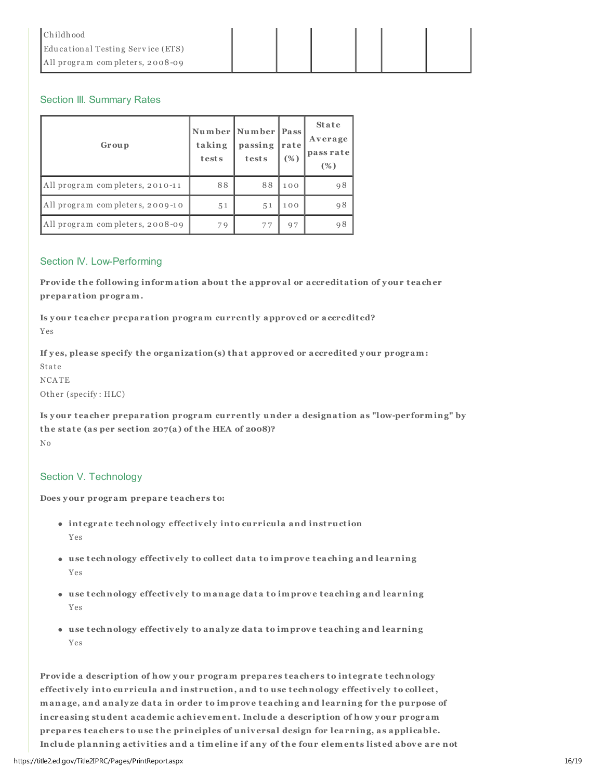| <b>Childhood</b>                  |  |  |  |
|-----------------------------------|--|--|--|
| Educational Testing Service (ETS) |  |  |  |
| All program completers, 2008-09   |  |  |  |

## Section III. Summary Rates

| Group                           | taking<br>tests | Number Number Pass<br>passing<br>tests | rate<br>(%) | <b>State</b><br>Average<br>pass rate<br>(%) |
|---------------------------------|-----------------|----------------------------------------|-------------|---------------------------------------------|
| All program completers, 2010-11 | 88              | 88                                     | 100         | 98                                          |
| All program completers, 2009-10 | 51              | 5 <sub>1</sub>                         | 100         | 98                                          |
| All program completers, 2008-09 | 79              | 77                                     | 97          | 98                                          |

### Section IV. Low-Performing

Provide the following information about the approval or accreditation of your teacher preparation program.

Is your teacher preparation program currently approved or accredited? Yes

If yes, please specify the organization(s) that approved or accredited your program: Sta te NCATE Other (specify : HLC)

Is y our t eacher preparation program currently under a designation as "low-performing" by the state (as per section  $207(a)$  of the HEA of 2008)? No

## Section V. Technology

Does your program prepare teachers to:

- integrate technology effectively into curricula and instruction Yes
- use technology effectively to collect data to improve teaching and learning Yes
- $\bullet$  use technology effectively to manage data to improve teaching and learning Yes
- use technology effectively to analyze data to improve teaching and learning Yes

Provide a description of how your program prepares teachers to integrate technology effectively into curricula and instruction, and to use technology effectively to collect, manage, and analyze data in order to improve teaching and learning for the purpose of increasing student academic achievement. Include a description of how your program prepares teachers to use the principles of universal design for learning, as applicable. Include planning activities and a timeline if any of the four elements listed above are not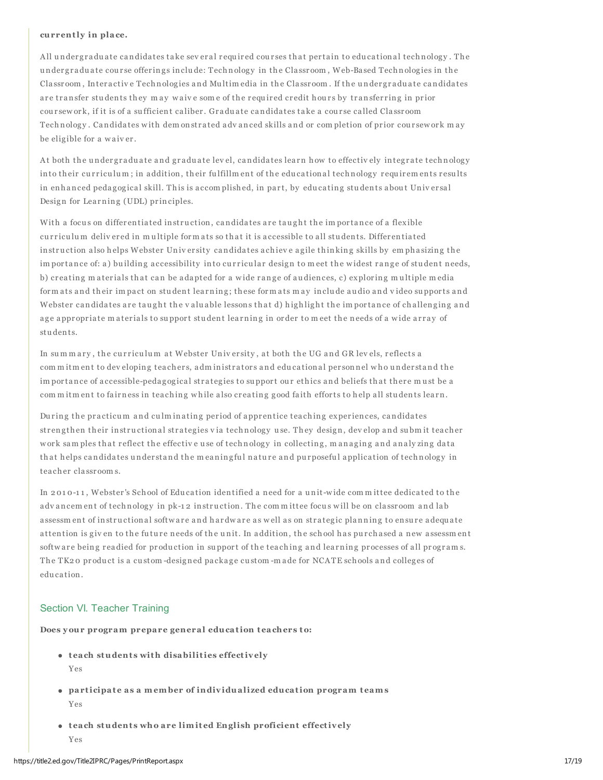#### currently in place.

All undergraduate candidates take sev eral required courses that pertain to educational technology. The under graduate course offerings include: Technology in the Classroom, Web-Based Technologies in the Classroom, Interactive Technologies and Multim edia in the Classroom. If the undergraduate candidates are transfer students they may waive some of the required credit hours by transferring in prior coursew ork, if it is of a sufficient caliber. Graduate candidates take a course called Classroom Technology. Candidates with dem onstrated advanced skills and or completion of prior coursework may be eligible for a waiver.

At both the undergraduate and graduate level, candidates learn how to effectively integrate technology into their curriculum; in addition, their fulfillm ent of the educational technology requirements results in enhanced pedagogical skill. This is accomplished, in part, by educating students about Universal Design for Learning (UDL) principles.

With a focus on differentiated instruction, candidates are taught the importance of a flexible curriculum delivered in multiple formats so that it is accessible to all students. Differentiated instruction also helps Webster Univ ersity candidates achieve agile thinking skills by emphasizing the im portance of: a) building accessibility into curricular design to meet the widest range of student needs, b) creating m aterials that can be adapted for a wide range of audiences, c) exploring multiple media form ats and their impact on student learning; these form ats may include audio and video supports and Webster candidates are taught the valuable lessons that d) highlight the importance of challenging and age appropriate materials to support student learning in order to meet the needs of a wide array of stu dents.

In summary, the curriculum at Webster University, at both the UG and GR levels, reflects a com m itm ent to dev eloping teachers, adm inistrators and educational personnel who understand the im portance of accessible-pedagogical strategies to support our ethics and beliefs that there must be a com m itm ent to fairness in teaching while also creating good faith efforts to help all students learn.

During the practicum and culminating period of apprentice teaching experiences, candidates strengthen their instructional strategies via technology use. They design, develop and submit teacher work samples that reflect the effective use of technology in collecting, managing and analy zing data that helps candidates understand the meaning ful nature and purposeful application of technology in tea cher cla ssr oom s.

In 2010-11, Webster's School of Education identified a need for a unit-wide committee dedicated to the adv ancem ent of technology in pk-12 instruction. The committee focus will be on classroom and lab assessment of instructional software and hardware as well as on strategic planning to ensure adequate attention is given to the future needs of the unit. In addition, the school has purchased a new assessment software being readied for production in support of the teaching and learning processes of all programs. The TK20 product is a custom-designed package custom-made for NCATE schools and colleges of edu ca tion.

### Section VI. Teacher Training

Does your program prepare general education teachers to:

- $\bullet$  teach students with disabilities effectively Yes
- participate as a member of individualized education program teams Yes
- $\bullet$  teach students who are limited English proficient effectively Yes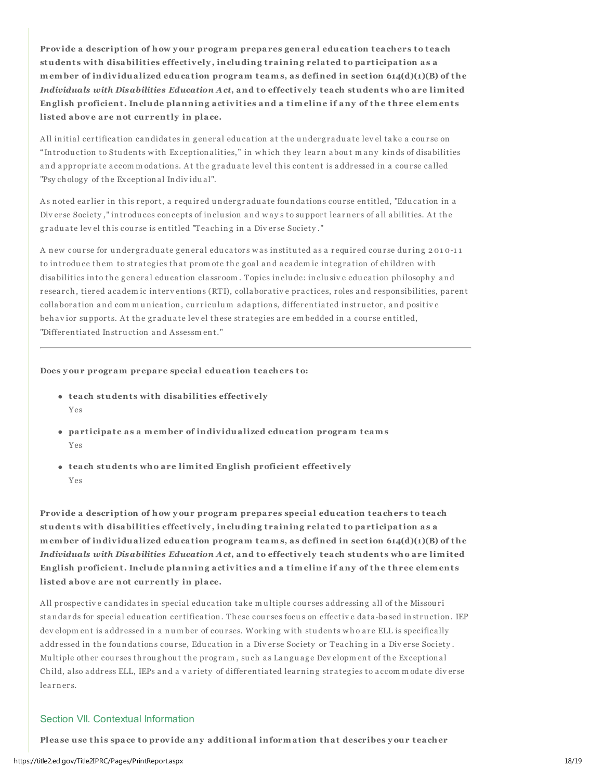Provide a description of how your program prepares general education teachers to teach students with disabilities effectively, including training related to participation as a member of individualized education program teams, as defined in section 614(d)(1)(B) of the *Individuals with Disabilities Education Act*, and to effectiv ely t each student s who are limit ed English proficient. Include planning activities and a timeline if any of the three elements listed above are not currently in place.

All initial certification candidates in general education at the undergraduate level take a course on " Introduction to Students with Exceptionalities," in which they learn about many kinds of disabilities and appropriate accommodations. At the graduate level this content is addressed in a course called "Psy chology of the Exceptional Individual".

As noted earlier in this report, a required undergraduate foundations course entitled, "Education in a Div erse Society," introduces concepts of inclusion and ways to support learners of all abilities. At the graduate level this course is entitled "Teaching in a Diverse Society."

A new course for undergraduate general educators was instituted as a required course during 2010-11 to introduce them to strategies that promote the goal and academic integration of children with disabilities into the general education classroom. Topics include: inclusive education philosophy and r esearch, tier ed a cadem ic interv entions (RTI), collaborative practices, roles and responsibilities, par ent collaboration and communication, curriculum adaptions, differentiated instructor, and positive behavior supports. At the graduate level these strategies are embedded in a course entitled, "Differentiated Instruction and Assessment."

#### Does your program prepare special education teachers to:

- $\bullet$  teach students with disabilities effectively Yes
- participate as a member of individualized education program teams Yes
- $\bullet$  teach students who are limited English proficient effectively Yes

Provide a description of how your program prepares special education teachers to teach students with disabilities effectively, including training related to participation as a member of individualized education program teams, as defined in section  $614(d)(1)(B)$  of the *Individuals with Disabilities Education Act*, and to effectiv ely t each student s who are limit ed English proficient. Include planning activities and a timeline if any of the three elements listed above are not currently in place.

All prospective candidates in special education take multiple courses addressing all of the Missouri standards for special education certification. These courses focus on effective data-based instruction. IEP dev elopm ent is addressed in a number of courses. Working with students who are ELL is specifically addressed in the foundations course, Education in a Diverse Society or Teaching in a Diverse Society. Multiple other courses throughout the program, such as Language Developm ent of the Exceptional Child, also address ELL, IEPs and a variety of differentiated learning strategies to accommodate diverse learners.

## Section VII. Contextual Information

Please use this space to provide any additional information that describes your teacher